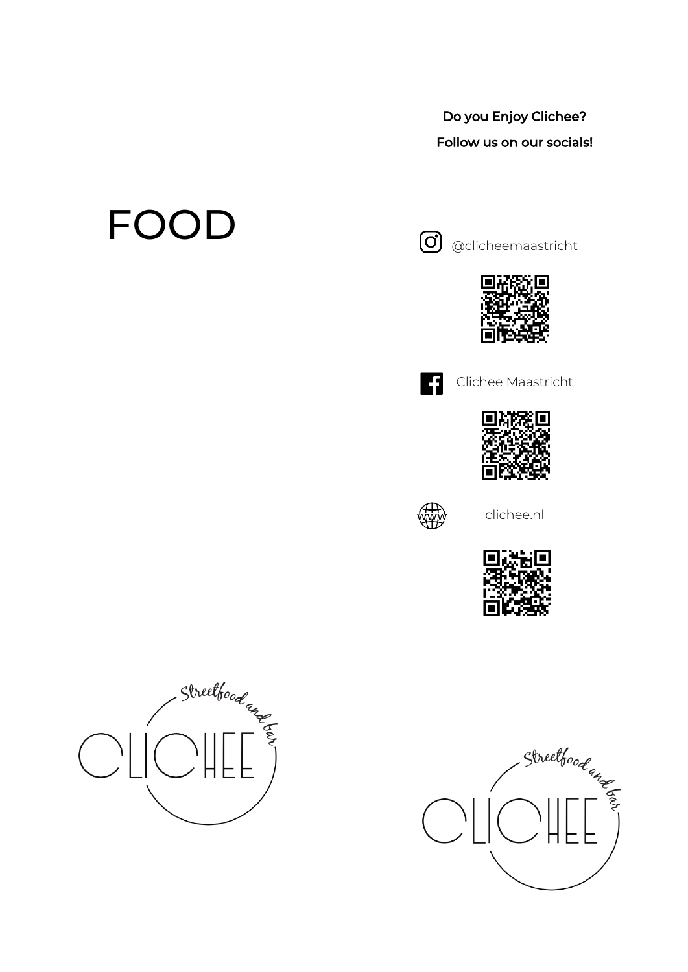### Do you Enjoy Clichee? Follow us on our socials!

# FOOD



@clicheemaastricht





Clichee Maastricht





clichee.nl





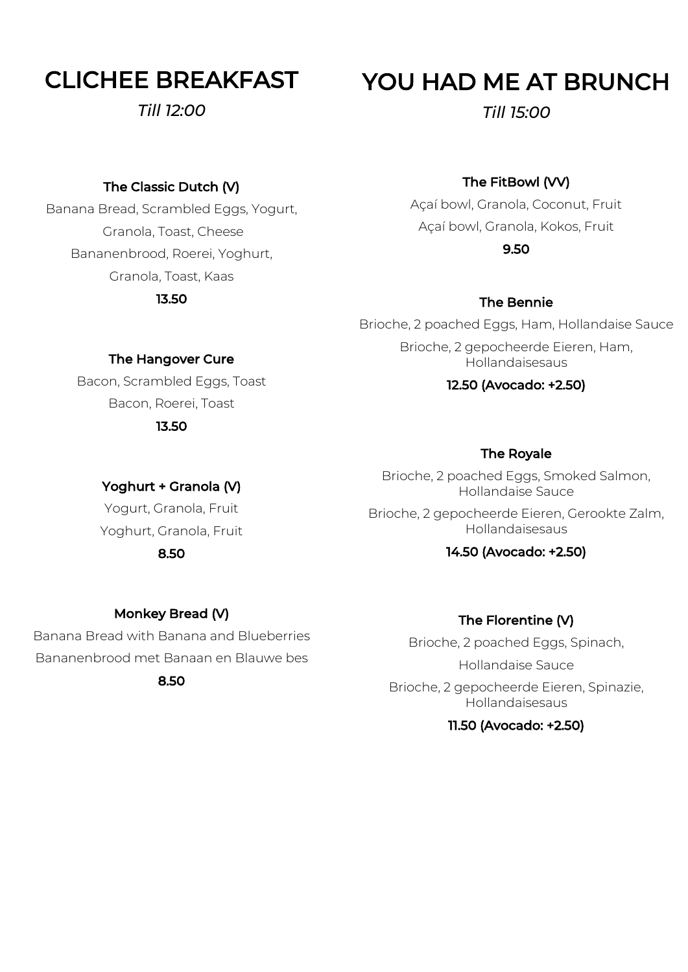# CLICHEE BREAKFAST

*Till 12:00*

# YOU HAD ME AT BRUNCH

*Till 15:00*

### The Classic Dutch (V)

Banana Bread, Scrambled Eggs, Yogurt, Granola, Toast, Cheese Bananenbrood, Roerei, Yoghurt, Granola, Toast, Kaas 13.50

### The FitBowl (VV)

Açaí bowl, Granola, Coconut, Fruit Açaí bowl, Granola, Kokos, Fruit 9.50

### The Bennie

Brioche, 2 poached Eggs, Ham, Hollandaise Sauce Brioche, 2 gepocheerde Eieren, Ham, Hollandaisesaus

### 12.50 (Avocado: +2.50)

### The Royale

Brioche, 2 poached Eggs, Smoked Salmon, Hollandaise Sauce

Brioche, 2 gepocheerde Eieren, Gerookte Zalm, Hollandaisesaus

### 14.50 (Avocado: +2.50)

### Monkey Bread (V)

Banana Bread with Banana and Blueberries Bananenbrood met Banaan en Blauwe bes 8.50

### The Florentine (V)

Brioche, 2 poached Eggs, Spinach, Hollandaise Sauce Brioche, 2 gepocheerde Eieren, Spinazie, Hollandaisesaus

### 11.50 (Avocado: +2.50)

The Hangover Cure

Bacon, Scrambled Eggs, Toast Bacon, Roerei, Toast

13.50

Yoghurt + Granola (V) Yogurt, Granola, Fruit Yoghurt, Granola, Fruit 8.50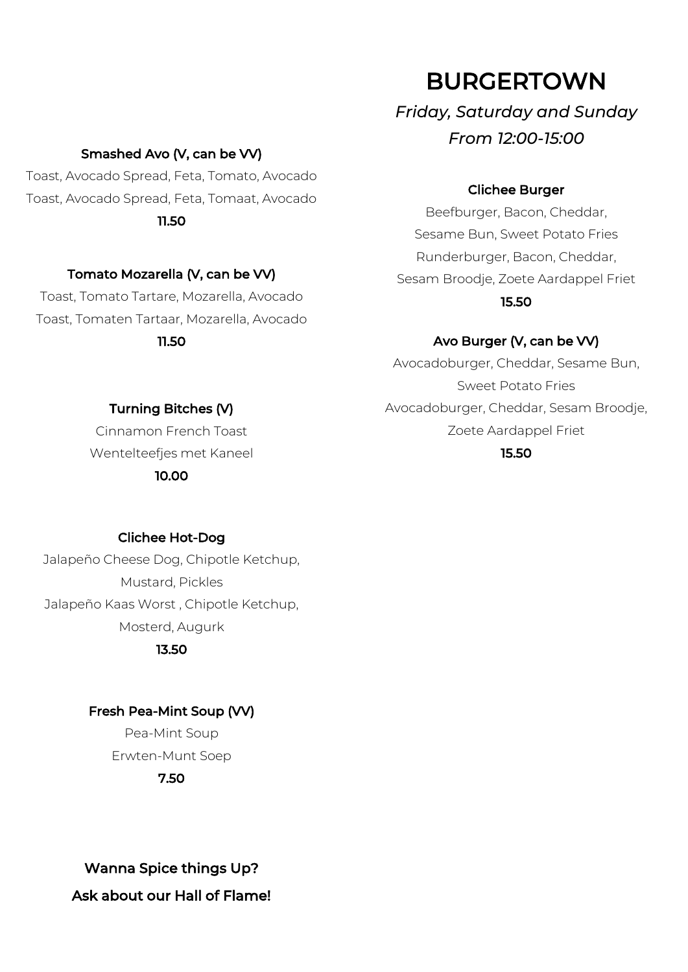### Smashed Avo (V, can be VV)

Toast, Avocado Spread, Feta, Tomato, Avocado Toast, Avocado Spread, Feta, Tomaat, Avocado 11.50

### Tomato Mozarella (V, can be VV)

Toast, Tomato Tartare, Mozarella, Avocado Toast, Tomaten Tartaar, Mozarella, Avocado 11.50

### BURGERTOWN

*Friday, Saturday and Sunday From 12:00-15:00*

#### Clichee Burger

Beefburger, Bacon, Cheddar, Sesame Bun, Sweet Potato Fries Runderburger, Bacon, Cheddar, Sesam Broodje, Zoete Aardappel Friet 15.50

## Avo Burger (V, can be VV)

Avocadoburger, Cheddar, Sesame Bun, Sweet Potato Fries Avocadoburger, Cheddar, Sesam Broodje, Zoete Aardappel Friet 15.50

### Turning Bitches (V)

Cinnamon French Toast Wentelteefjes met Kaneel 10.00

#### Clichee Hot-Dog

Jalapeño Cheese Dog, Chipotle Ketchup, Mustard, Pickles Jalapeño Kaas Worst , Chipotle Ketchup, Mosterd, Augurk

13.50

#### Fresh Pea-Mint Soup (VV)

Pea-Mint Soup Erwten-Munt Soep 7.50

Wanna Spice things Up? Ask about our Hall of Flame!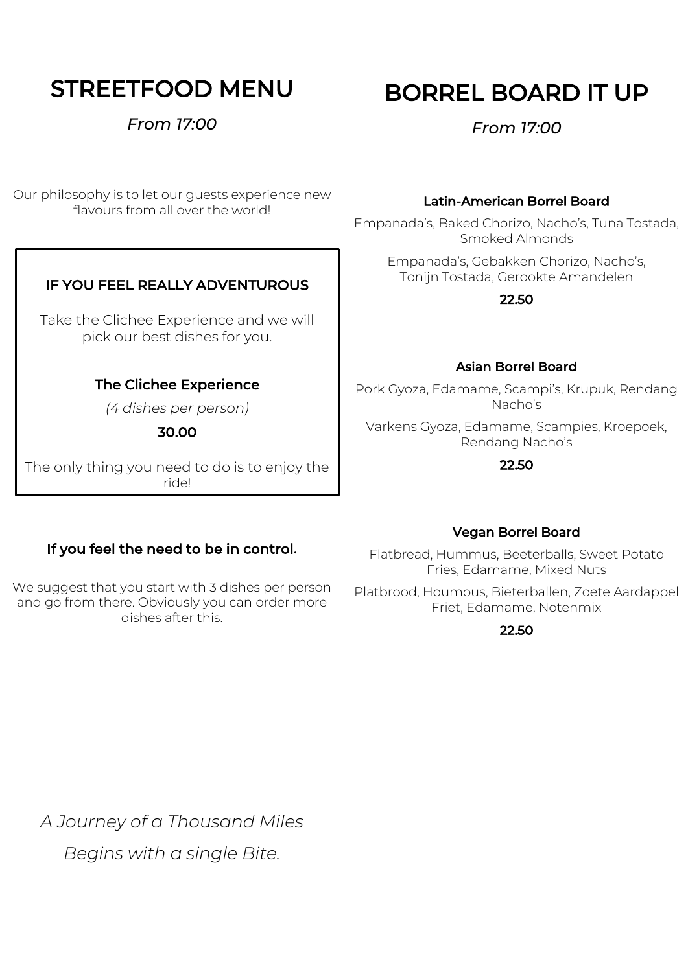# STREETFOOD MENU

*From 17:00*

Our philosophy is to let our guests experience new flavours from all over the world!

### IF YOU FEEL REALLY ADVENTUROUS

Take the Clichee Experience and we will pick our best dishes for you.

### The Clichee Experience

*(4 dishes per person)*

30.00

 ride!The only thing you need to do is to enjoy the

Ξ

### If you feel the need to be in control.

We suggest that you start with 3 dishes per person and go from there. Obviously you can order more dishes after this.

### Latin-American Borrel Board

Empanada's, Baked Chorizo, Nacho's, Tuna Tostada, Smoked Almonds

Empanada's, Gebakken Chorizo, Nacho's, Tonijn Tostada, Gerookte Amandelen

22.50

### Asian Borrel Board

Pork Gyoza, Edamame, Scampi's, Krupuk, Rendang Nacho's

Varkens Gyoza, Edamame, Scampies, Kroepoek, Rendang Nacho's

#### 22.50

### Vegan Borrel Board

Flatbread, Hummus, Beeterballs, Sweet Potato Fries, Edamame, Mixed Nuts

Platbrood, Houmous, Bieterballen, Zoete Aardappel Friet, Edamame, Notenmix

#### 22.50

*A Journey of a Thousand Miles Begins with a single Bite.*

# BORREL BOARD IT UP

*From 17:00*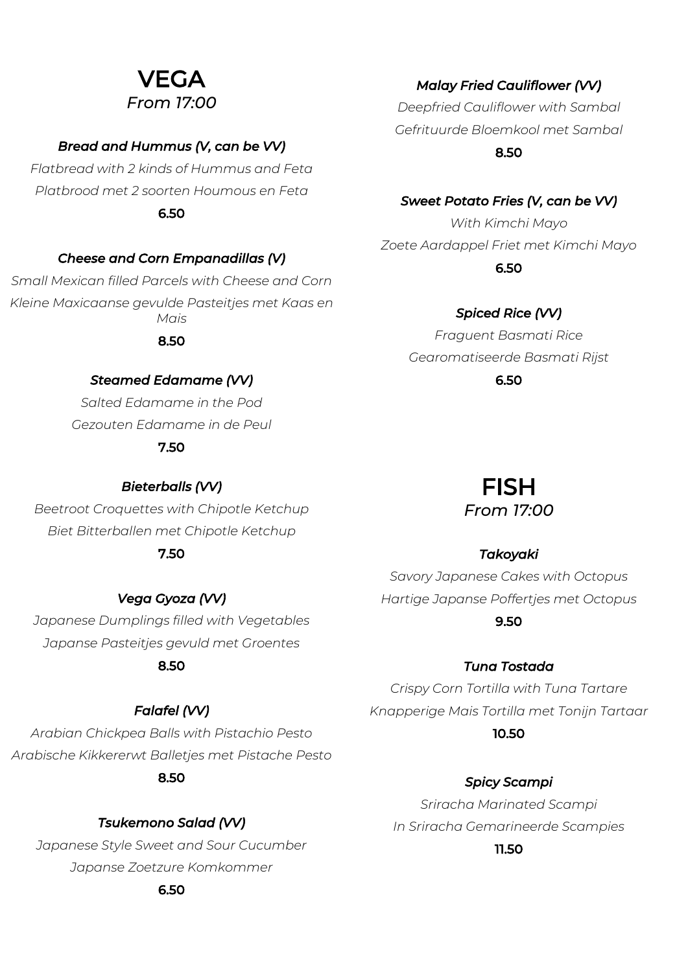### VEGA *From 17:00*

### *Bread and Hummus (V, can be VV)*

*Flatbread with 2 kinds of Hummus and Feta Platbrood met 2 soorten Houmous en Feta* 6.50

### *Cheese and Corn Empanadillas (V)*

*Small Mexican filled Parcels with Cheese and Corn Kleine Maxicaanse gevulde Pasteitjes met Kaas en Mais*

8.50

### *Steamed Edamame (VV)*

*Salted Edamame in the Pod Gezouten Edamame in de Peul*

### 7.50

*Bieterballs (VV) Beetroot Croquettes with Chipotle Ketchup Biet Bitterballen met Chipotle Ketchup* 7.50

#### *Vega Gyoza (VV)*

*Japanese Dumplings filled with Vegetables Japanse Pasteitjes gevuld met Groentes*

### 8.50

### *Falafel (VV)*

*Arabian Chickpea Balls with Pistachio Pesto Arabische Kikkererwt Balletjes met Pistache Pesto* 8.50

### *Tsukemono Salad (VV)*

*Japanese Style Sweet and Sour Cucumber Japanse Zoetzure Komkommer*

#### 6.50

*Malay Fried Cauliflower (VV)* 

*Deepfried Cauliflower with Sambal Gefrituurde Bloemkool met Sambal*

8.50

### *Sweet Potato Fries (V, can be VV)*

*With Kimchi Mayo Zoete Aardappel Friet met Kimchi Mayo* 6.50

*Spiced Rice (VV)* 

*Fraguent Basmati Rice Gearomatiseerde Basmati Rijst* 6.50

# FISH

### *From 17:00*

### *Takoyaki*

*Savory Japanese Cakes with Octopus Hartige Japanse Poffertjes met Octopus* 9.50

### *Tuna Tostada*

*Crispy Corn Tortilla with Tuna Tartare Knapperige Mais Tortilla met Tonijn Tartaar* 10.50

### *Spicy Scampi*

*Sriracha Marinated Scampi In Sriracha Gemarineerde Scampies*

#### 11.50